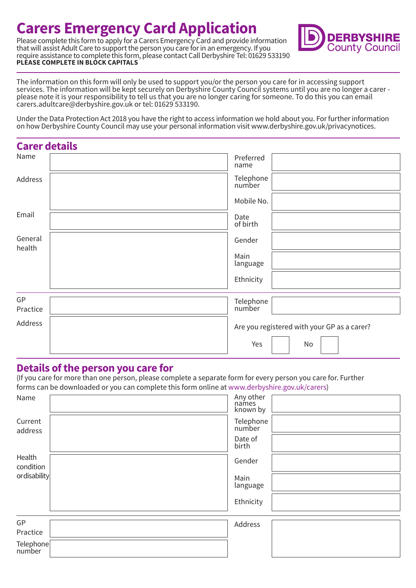# **Carers Emergency Card Application**

Please complete this form to apply for a Carers Emergency Card and provide information that will assist Adult Care to support the person you care for in an emergency. If you require assistance to complete this form, please contact Call Derbyshire Tel: 01629 533190 **PLEASE COMPLETE IN BLOCK CAPITALS** 



The information on this form will only be used to support you/or the person you care for in accessing support services. The information will be kept securely on Derbyshire County Council systems until you are no longer a carer please note it is your responsibility to tell us that you are no longer caring for someone. To do this you can email carers.adultcare@derbyshire.gov.uk or tel: 01629 533190.

Under the Data Protection Act 2018 you have the right to access information we hold about you. For further information on how Derbyshire County Council may use your personal information visit www.derbyshire.gov.uk/privacynotices.

| <b>Carer details</b> |                                             |
|----------------------|---------------------------------------------|
| Name                 | Preferred<br>name                           |
| Address              | Telephone<br>number                         |
|                      | Mobile No.                                  |
| Email                | Date<br>of birth                            |
| General<br>health    | Gender                                      |
|                      | Main<br>language                            |
|                      | Ethnicity                                   |
| GP                   |                                             |
| Practice             | Telephone<br>number                         |
| Address              | Are you registered with your GP as a carer? |
|                      | Yes<br>No                                   |

## **Details of the person you care for**

(If you care for more than one person, please complete a separate form for every person you care for. Further forms can be downloaded or you can complete this form online at www.derbyshire.gov.uk/carers)

| Name                                                                            | Any other<br>names<br>known by |  |
|---------------------------------------------------------------------------------|--------------------------------|--|
| Current<br>address                                                              | Telephone<br>number            |  |
|                                                                                 | Date of<br>birth               |  |
| Health<br>condition                                                             | Gender                         |  |
| ordisability                                                                    | Main<br>language               |  |
|                                                                                 | Ethnicity                      |  |
| GP                                                                              | Address                        |  |
| Practice                                                                        |                                |  |
| $\left[\begin{array}{c}\n\text{Telephone} \\ \text{number}\n\end{array}\right]$ |                                |  |